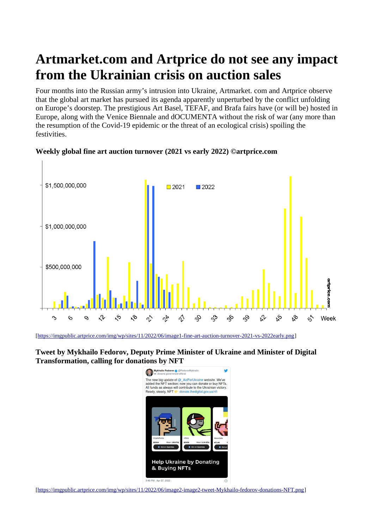# **Artmarket.com and Artprice do not see any impact from the Ukrainian crisis on auction sales**

Four months into the Russian army's intrusion into Ukraine, Artmarket. com and Artprice observe that the global art market has pursued its agenda apparently unperturbed by the conflict unfolding on Europe's doorstep. The prestigious Art Basel, TEFAF, and Brafa fairs have (or will be) hosted in Europe, along with the Venice Biennale and dOCUMENTA without the risk of war (any more than the resumption of the Covid-19 epidemic or the threat of an ecological crisis) spoiling the festivities.



# **Weekly global fine art auction turnover (2021 vs early 2022) ©artprice.com**

[<https://imgpublic.artprice.com/img/wp/sites/11/2022/06/image1-fine-art-auction-turnover-2021-vs-2022early.png>]

**Tweet by Mykhailo Fedorov, Deputy Prime Minister of Ukraine and Minister of Digital Transformation, calling for donations by NFT**



[<https://imgpublic.artprice.com/img/wp/sites/11/2022/06/image2-image2-tweet-Mykhailo-fedorov-donations-NFT.png>]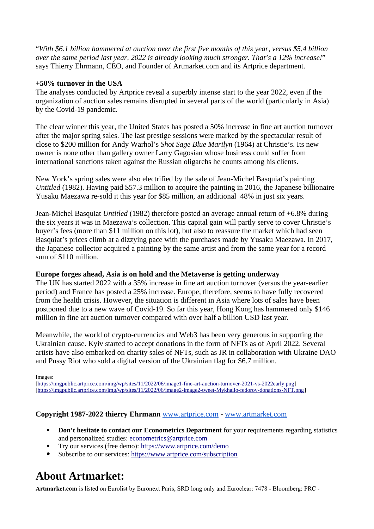"*With \$6.1 billion hammered at auction over the first five months of this year, versus \$5.4 billion over the same period last year, 2022 is already looking much stronger. That's a 12% increase!*" says Thierry Ehrmann, CEO, and Founder of Artmarket.com and its Artprice department.

### **+50% turnover in the USA**

The analyses conducted by Artprice reveal a superbly intense start to the year 2022, even if the organization of auction sales remains disrupted in several parts of the world (particularly in Asia) by the Covid-19 pandemic.

The clear winner this year, the United States has posted a 50% increase in fine art auction turnover after the major spring sales. The last prestige sessions were marked by the spectacular result of close to \$200 million for Andy Warhol's *Shot Sage Blue Marilyn* (1964) at Christie's. Its new owner is none other than gallery owner Larry Gagosian whose business could suffer from international sanctions taken against the Russian oligarchs he counts among his clients.

New York's spring sales were also electrified by the sale of Jean-Michel Basquiat's painting *Untitled* (1982). Having paid \$57.3 million to acquire the painting in 2016, the Japanese billionaire Yusaku Maezawa re-sold it this year for \$85 million, an additional 48% in just six years.

Jean-Michel Basquiat *Untitled* (1982) therefore posted an average annual return of +6.8% during the six years it was in Maezawa's collection. This capital gain will partly serve to cover Christie's buyer's fees (more than \$11 million on this lot), but also to reassure the market which had seen Basquiat's prices climb at a dizzying pace with the purchases made by Yusaku Maezawa. In 2017, the Japanese collector acquired a painting by the same artist and from the same year for a record sum of \$110 million.

#### **Europe forges ahead, Asia is on hold and the Metaverse is getting underway**

The UK has started 2022 with a 35% increase in fine art auction turnover (versus the year-earlier period) and France has posted a 25% increase. Europe, therefore, seems to have fully recovered from the health crisis. However, the situation is different in Asia where lots of sales have been postponed due to a new wave of Covid-19. So far this year, Hong Kong has hammered only \$146 million in fine art auction turnover compared with over half a billion USD last year.

Meanwhile, the world of crypto-currencies and Web3 has been very generous in supporting the Ukrainian cause. Kyiv started to accept donations in the form of NFTs as of April 2022. Several artists have also embarked on charity sales of NFTs, such as JR in collaboration with Ukraine DAO and Pussy Riot who sold a digital version of the Ukrainian flag for \$6.7 million.

Images:

[<https://imgpublic.artprice.com/img/wp/sites/11/2022/06/image1-fine-art-auction-turnover-2021-vs-2022early.png>] [<https://imgpublic.artprice.com/img/wp/sites/11/2022/06/image2-image2-tweet-Mykhailo-fedorov-donations-NFT.png>]

# **Copyright 1987-2022 thierry Ehrmann** [www.artprice.com](https://www.artprice.com/) - [www.artmarket.com](https://www.artmarket.com/)

- **Don't hesitate to contact our Econometrics Department** for your requirements regarding statistics and personalized studies: [econometrics@artprice.com](mailto:econometrics@artprice.com)
- Try our services (free demo):<https://www.artprice.com/demo>
- Subscribe to our services: <https://www.artprice.com/subscription>

# **About Artmarket:**

**Artmarket.com** is listed on Eurolist by Euronext Paris, SRD long only and Euroclear: 7478 - Bloomberg: PRC -